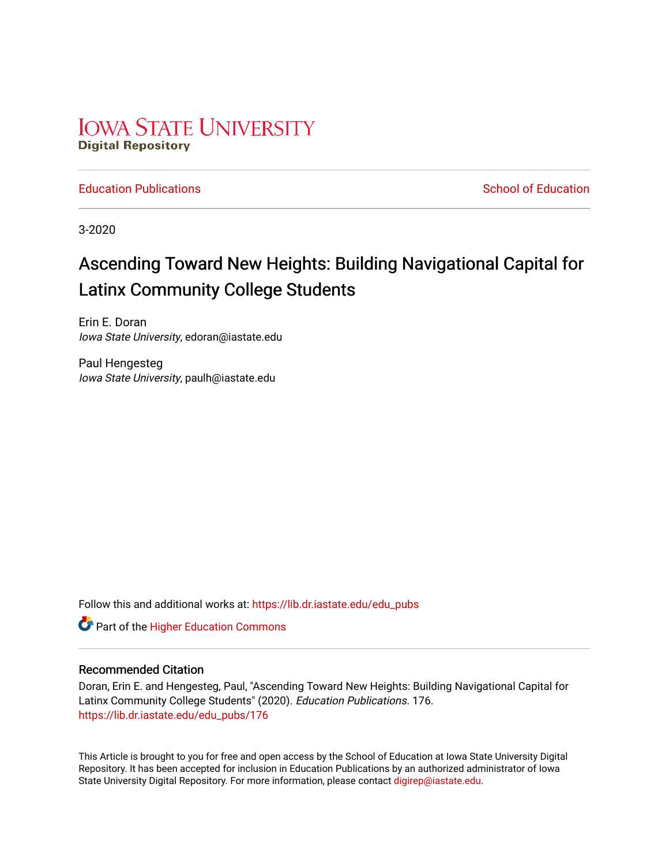# **IOWA STATE UNIVERSITY Digital Repository**

**[Education Publications](https://lib.dr.iastate.edu/edu_pubs) School of Education** School of Education

3-2020

# Ascending Toward New Heights: Building Navigational Capital for Latinx Community College Students

Erin E. Doran Iowa State University, edoran@iastate.edu

Paul Hengesteg Iowa State University, paulh@iastate.edu

Follow this and additional works at: [https://lib.dr.iastate.edu/edu\\_pubs](https://lib.dr.iastate.edu/edu_pubs?utm_source=lib.dr.iastate.edu%2Fedu_pubs%2F176&utm_medium=PDF&utm_campaign=PDFCoverPages) 

**Part of the Higher Education Commons** 

# Recommended Citation

Doran, Erin E. and Hengesteg, Paul, "Ascending Toward New Heights: Building Navigational Capital for Latinx Community College Students" (2020). Education Publications. 176. [https://lib.dr.iastate.edu/edu\\_pubs/176](https://lib.dr.iastate.edu/edu_pubs/176?utm_source=lib.dr.iastate.edu%2Fedu_pubs%2F176&utm_medium=PDF&utm_campaign=PDFCoverPages) 

This Article is brought to you for free and open access by the School of Education at Iowa State University Digital Repository. It has been accepted for inclusion in Education Publications by an authorized administrator of Iowa State University Digital Repository. For more information, please contact [digirep@iastate.edu](mailto:digirep@iastate.edu).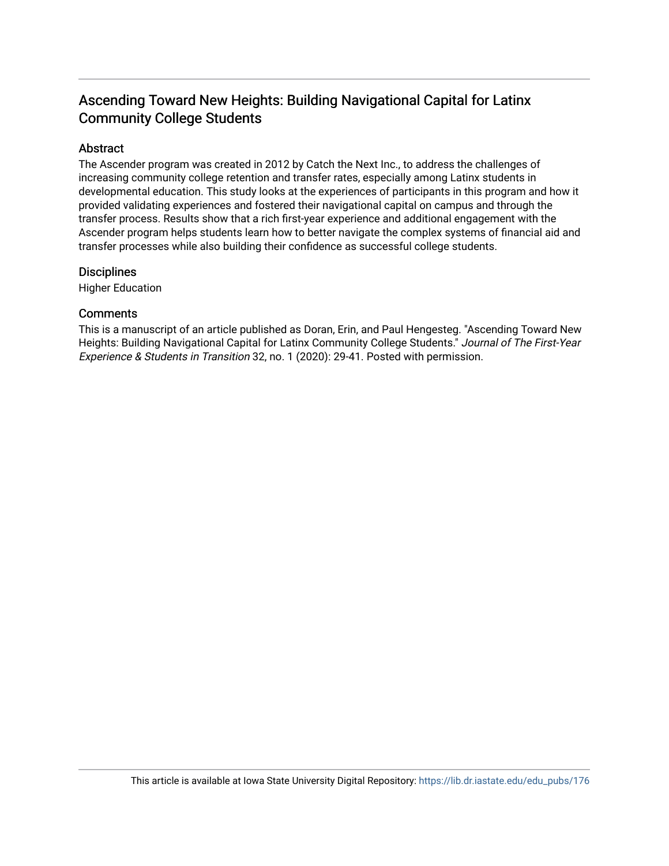# Ascending Toward New Heights: Building Navigational Capital for Latinx Community College Students

# Abstract

The Ascender program was created in 2012 by Catch the Next Inc., to address the challenges of increasing community college retention and transfer rates, especially among Latinx students in developmental education. This study looks at the experiences of participants in this program and how it provided validating experiences and fostered their navigational capital on campus and through the transfer process. Results show that a rich first-year experience and additional engagement with the Ascender program helps students learn how to better navigate the complex systems of financial aid and transfer processes while also building their confidence as successful college students.

# **Disciplines**

Higher Education

# **Comments**

This is a manuscript of an article published as Doran, Erin, and Paul Hengesteg. "Ascending Toward New Heights: Building Navigational Capital for Latinx Community College Students." Journal of The First-Year Experience & Students in Transition 32, no. 1 (2020): 29-41. Posted with permission.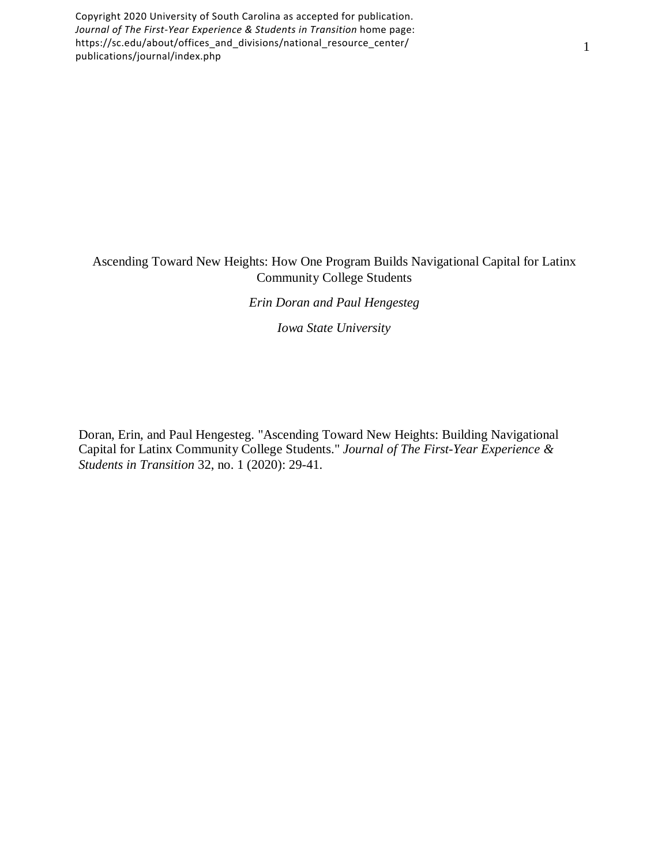Copyright 2020 University of South Carolina as accepted for publication. *Journal of The First-Year Experience & Students in Transition* home page: https://sc.edu/about/offices\_and\_divisions/national\_resource\_center/ publications/journal/index.php

# Ascending Toward New Heights: How One Program Builds Navigational Capital for Latinx Community College Students

*Erin Doran and Paul Hengesteg*

*Iowa State University*

Doran, Erin, and Paul Hengesteg. "Ascending Toward New Heights: Building Navigational Capital for Latinx Community College Students." *Journal of The First-Year Experience & Students in Transition* 32, no. 1 (2020): 29-41.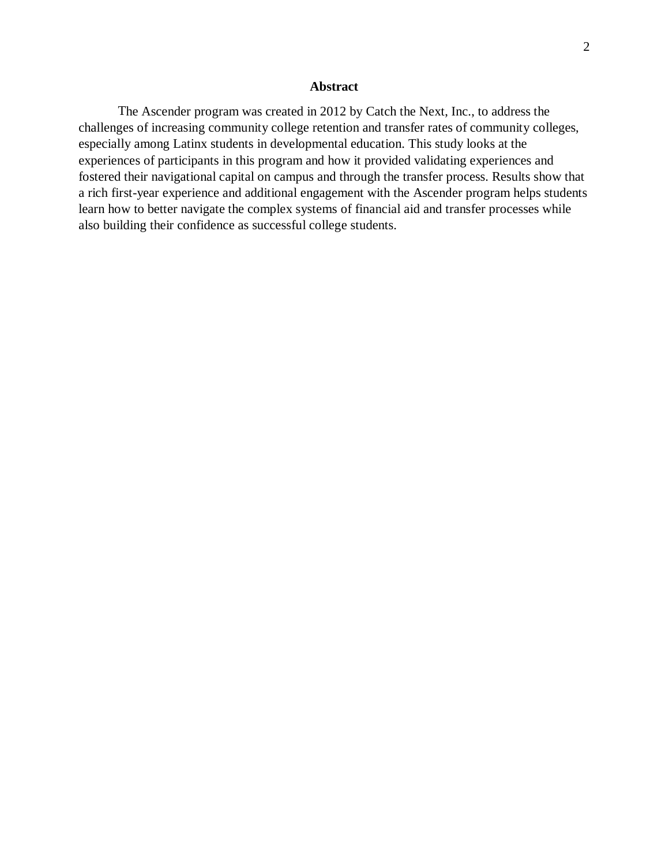# **Abstract**

The Ascender program was created in 2012 by Catch the Next, Inc., to address the challenges of increasing community college retention and transfer rates of community colleges, especially among Latinx students in developmental education. This study looks at the experiences of participants in this program and how it provided validating experiences and fostered their navigational capital on campus and through the transfer process. Results show that a rich first-year experience and additional engagement with the Ascender program helps students learn how to better navigate the complex systems of financial aid and transfer processes while also building their confidence as successful college students.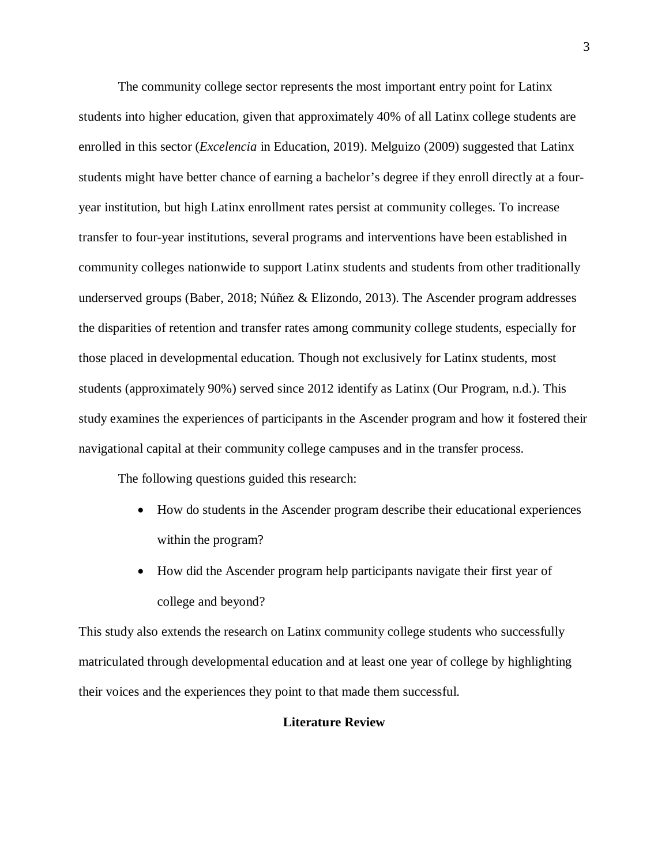The community college sector represents the most important entry point for Latinx students into higher education, given that approximately 40% of all Latinx college students are enrolled in this sector (*Excelencia* in Education, 2019). Melguizo (2009) suggested that Latinx students might have better chance of earning a bachelor's degree if they enroll directly at a fouryear institution, but high Latinx enrollment rates persist at community colleges. To increase transfer to four-year institutions, several programs and interventions have been established in community colleges nationwide to support Latinx students and students from other traditionally underserved groups (Baber, 2018; Núñez & Elizondo, 2013). The Ascender program addresses the disparities of retention and transfer rates among community college students, especially for those placed in developmental education. Though not exclusively for Latinx students, most students (approximately 90%) served since 2012 identify as Latinx (Our Program, n.d.). This study examines the experiences of participants in the Ascender program and how it fostered their navigational capital at their community college campuses and in the transfer process.

The following questions guided this research:

- How do students in the Ascender program describe their educational experiences within the program?
- How did the Ascender program help participants navigate their first year of college and beyond?

This study also extends the research on Latinx community college students who successfully matriculated through developmental education and at least one year of college by highlighting their voices and the experiences they point to that made them successful.

# **Literature Review**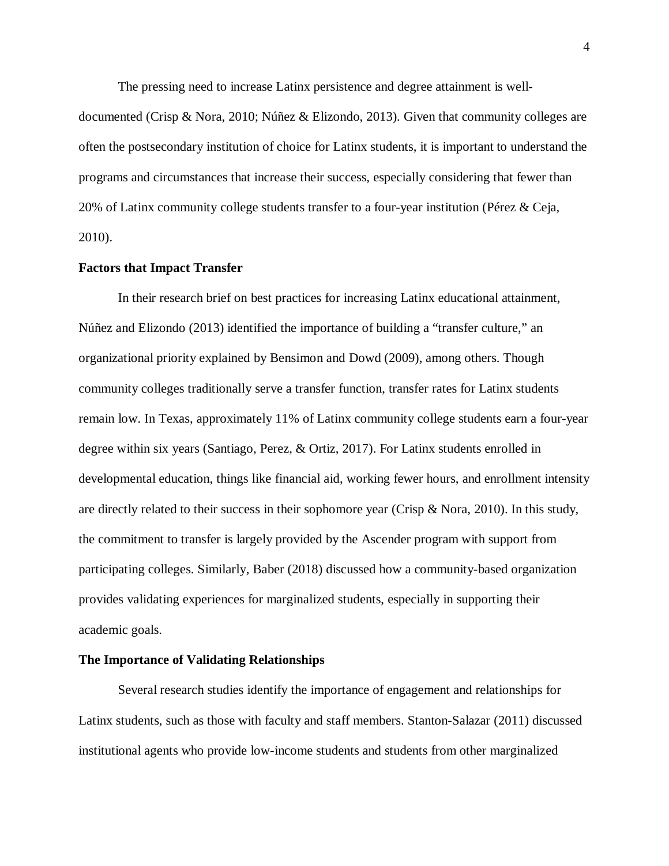The pressing need to increase Latinx persistence and degree attainment is well-

documented (Crisp & Nora, 2010; Núñez & Elizondo, 2013). Given that community colleges are often the postsecondary institution of choice for Latinx students, it is important to understand the programs and circumstances that increase their success, especially considering that fewer than 20% of Latinx community college students transfer to a four-year institution (Pérez & Ceja, 2010).

## **Factors that Impact Transfer**

In their research brief on best practices for increasing Latinx educational attainment, Núñez and Elizondo (2013) identified the importance of building a "transfer culture," an organizational priority explained by Bensimon and Dowd (2009), among others. Though community colleges traditionally serve a transfer function, transfer rates for Latinx students remain low. In Texas, approximately 11% of Latinx community college students earn a four-year degree within six years (Santiago, Perez, & Ortiz, 2017). For Latinx students enrolled in developmental education, things like financial aid, working fewer hours, and enrollment intensity are directly related to their success in their sophomore year (Crisp & Nora, 2010). In this study, the commitment to transfer is largely provided by the Ascender program with support from participating colleges. Similarly, Baber (2018) discussed how a community-based organization provides validating experiences for marginalized students, especially in supporting their academic goals.

#### **The Importance of Validating Relationships**

Several research studies identify the importance of engagement and relationships for Latinx students, such as those with faculty and staff members. Stanton-Salazar (2011) discussed institutional agents who provide low-income students and students from other marginalized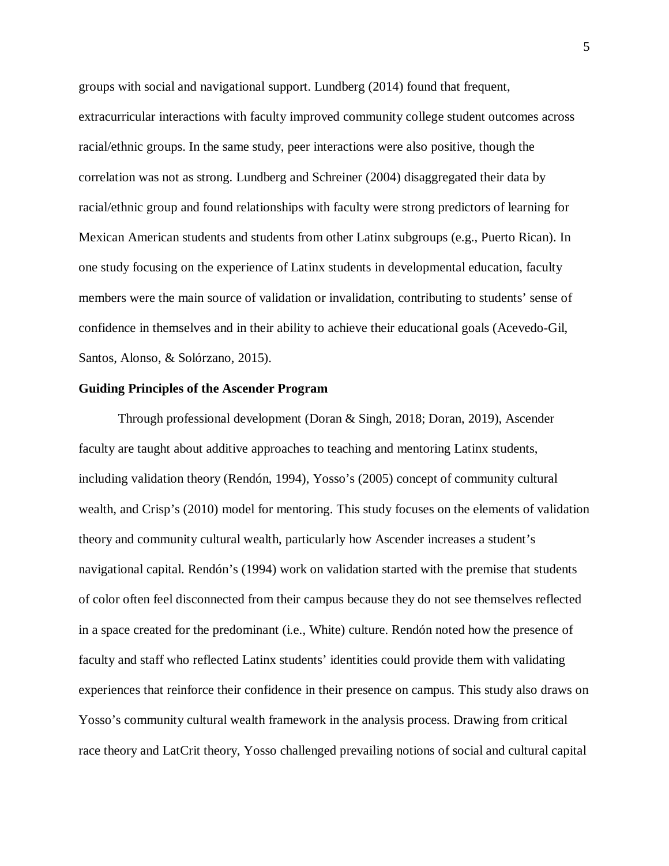groups with social and navigational support. Lundberg (2014) found that frequent, extracurricular interactions with faculty improved community college student outcomes across racial/ethnic groups. In the same study, peer interactions were also positive, though the correlation was not as strong. Lundberg and Schreiner (2004) disaggregated their data by racial/ethnic group and found relationships with faculty were strong predictors of learning for Mexican American students and students from other Latinx subgroups (e.g., Puerto Rican). In one study focusing on the experience of Latinx students in developmental education, faculty members were the main source of validation or invalidation, contributing to students' sense of confidence in themselves and in their ability to achieve their educational goals (Acevedo-Gil, Santos, Alonso, & Solórzano, 2015).

#### **Guiding Principles of the Ascender Program**

Through professional development (Doran & Singh, 2018; Doran, 2019), Ascender faculty are taught about additive approaches to teaching and mentoring Latinx students, including validation theory (Rendón, 1994), Yosso's (2005) concept of community cultural wealth, and Crisp's (2010) model for mentoring. This study focuses on the elements of validation theory and community cultural wealth, particularly how Ascender increases a student's navigational capital. Rendón's (1994) work on validation started with the premise that students of color often feel disconnected from their campus because they do not see themselves reflected in a space created for the predominant (i.e., White) culture. Rendón noted how the presence of faculty and staff who reflected Latinx students' identities could provide them with validating experiences that reinforce their confidence in their presence on campus. This study also draws on Yosso's community cultural wealth framework in the analysis process. Drawing from critical race theory and LatCrit theory, Yosso challenged prevailing notions of social and cultural capital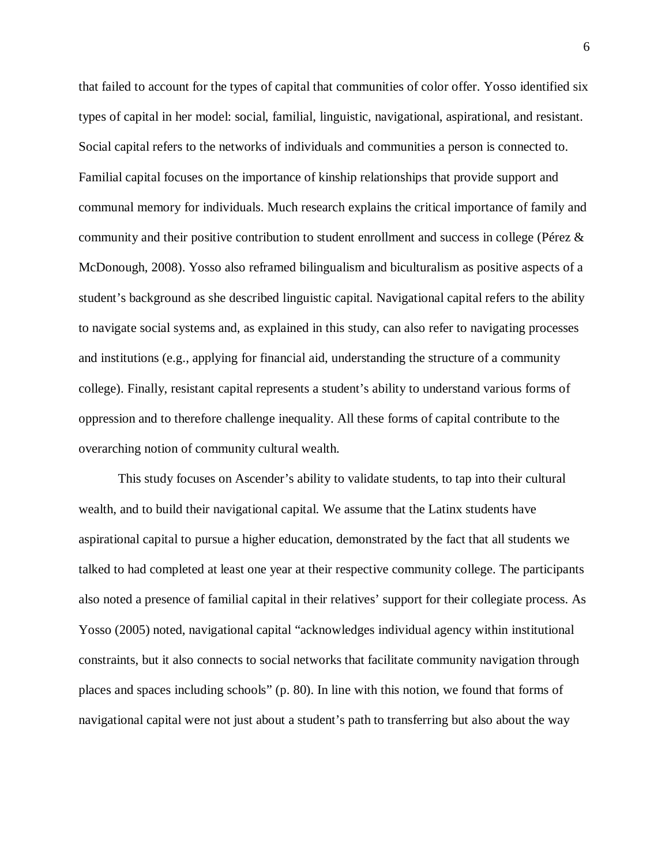that failed to account for the types of capital that communities of color offer. Yosso identified six types of capital in her model: social, familial, linguistic, navigational, aspirational, and resistant. Social capital refers to the networks of individuals and communities a person is connected to. Familial capital focuses on the importance of kinship relationships that provide support and communal memory for individuals. Much research explains the critical importance of family and community and their positive contribution to student enrollment and success in college (Pérez & McDonough, 2008). Yosso also reframed bilingualism and biculturalism as positive aspects of a student's background as she described linguistic capital. Navigational capital refers to the ability to navigate social systems and, as explained in this study, can also refer to navigating processes and institutions (e.g., applying for financial aid, understanding the structure of a community college). Finally, resistant capital represents a student's ability to understand various forms of oppression and to therefore challenge inequality. All these forms of capital contribute to the overarching notion of community cultural wealth.

This study focuses on Ascender's ability to validate students, to tap into their cultural wealth, and to build their navigational capital. We assume that the Latinx students have aspirational capital to pursue a higher education, demonstrated by the fact that all students we talked to had completed at least one year at their respective community college. The participants also noted a presence of familial capital in their relatives' support for their collegiate process. As Yosso (2005) noted, navigational capital "acknowledges individual agency within institutional constraints, but it also connects to social networks that facilitate community navigation through places and spaces including schools" (p. 80). In line with this notion, we found that forms of navigational capital were not just about a student's path to transferring but also about the way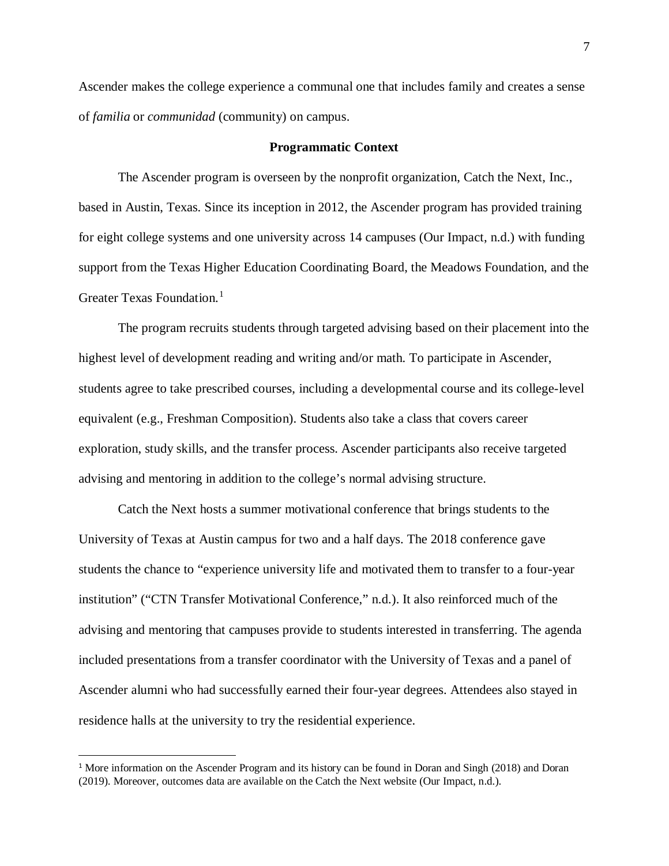Ascender makes the college experience a communal one that includes family and creates a sense of *familia* or *communidad* (community) on campus.

# **Programmatic Context**

The Ascender program is overseen by the nonprofit organization, Catch the Next, Inc., based in Austin, Texas. Since its inception in 2012, the Ascender program has provided training for eight college systems and one university across 14 campuses (Our Impact, n.d.) with funding support from the Texas Higher Education Coordinating Board, the Meadows Foundation, and the Greater Texas Foundation. [1](#page-8-0)

The program recruits students through targeted advising based on their placement into the highest level of development reading and writing and/or math. To participate in Ascender, students agree to take prescribed courses, including a developmental course and its college-level equivalent (e.g., Freshman Composition). Students also take a class that covers career exploration, study skills, and the transfer process. Ascender participants also receive targeted advising and mentoring in addition to the college's normal advising structure.

Catch the Next hosts a summer motivational conference that brings students to the University of Texas at Austin campus for two and a half days. The 2018 conference gave students the chance to "experience university life and motivated them to transfer to a four-year institution" ("CTN Transfer Motivational Conference," n.d.). It also reinforced much of the advising and mentoring that campuses provide to students interested in transferring. The agenda included presentations from a transfer coordinator with the University of Texas and a panel of Ascender alumni who had successfully earned their four-year degrees. Attendees also stayed in residence halls at the university to try the residential experience.

<span id="page-8-0"></span><sup>&</sup>lt;sup>1</sup> More information on the Ascender Program and its history can be found in Doran and Singh (2018) and Doran (2019). Moreover, outcomes data are available on the Catch the Next website (Our Impact, n.d.).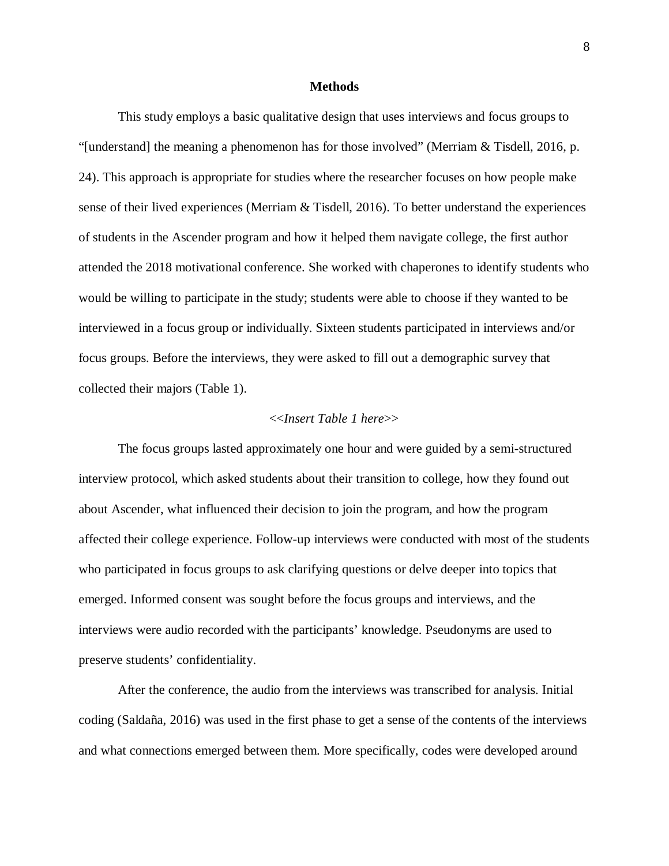#### **Methods**

This study employs a basic qualitative design that uses interviews and focus groups to "[understand] the meaning a phenomenon has for those involved" (Merriam & Tisdell, 2016, p. 24). This approach is appropriate for studies where the researcher focuses on how people make sense of their lived experiences (Merriam & Tisdell, 2016). To better understand the experiences of students in the Ascender program and how it helped them navigate college, the first author attended the 2018 motivational conference. She worked with chaperones to identify students who would be willing to participate in the study; students were able to choose if they wanted to be interviewed in a focus group or individually. Sixteen students participated in interviews and/or focus groups. Before the interviews, they were asked to fill out a demographic survey that collected their majors (Table 1).

### <<*Insert Table 1 here*>>

The focus groups lasted approximately one hour and were guided by a semi-structured interview protocol, which asked students about their transition to college, how they found out about Ascender, what influenced their decision to join the program, and how the program affected their college experience. Follow-up interviews were conducted with most of the students who participated in focus groups to ask clarifying questions or delve deeper into topics that emerged. Informed consent was sought before the focus groups and interviews, and the interviews were audio recorded with the participants' knowledge. Pseudonyms are used to preserve students' confidentiality.

After the conference, the audio from the interviews was transcribed for analysis. Initial coding (Saldaña, 2016) was used in the first phase to get a sense of the contents of the interviews and what connections emerged between them. More specifically, codes were developed around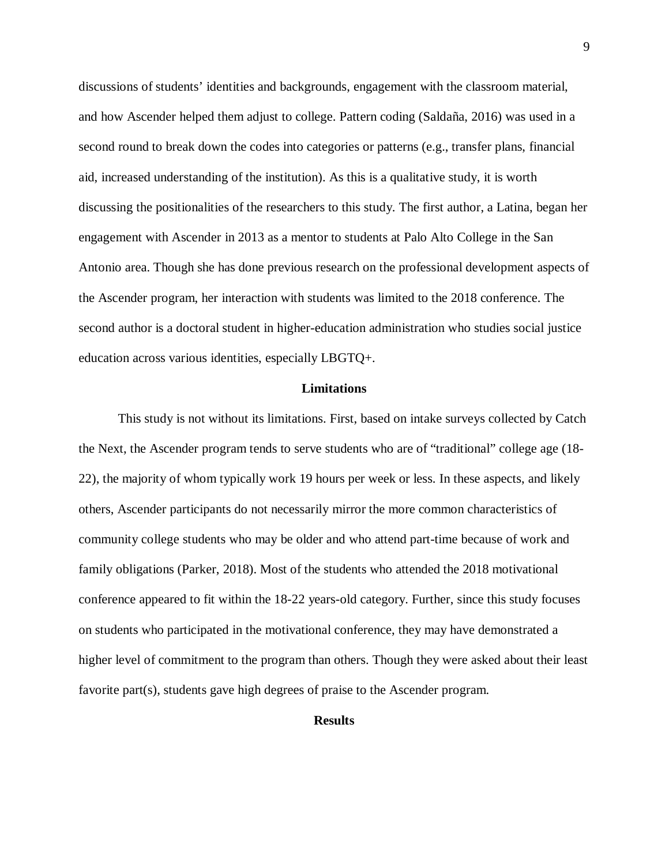discussions of students' identities and backgrounds, engagement with the classroom material, and how Ascender helped them adjust to college. Pattern coding (Saldaña, 2016) was used in a second round to break down the codes into categories or patterns (e.g., transfer plans, financial aid, increased understanding of the institution). As this is a qualitative study, it is worth discussing the positionalities of the researchers to this study. The first author, a Latina, began her engagement with Ascender in 2013 as a mentor to students at Palo Alto College in the San Antonio area. Though she has done previous research on the professional development aspects of the Ascender program, her interaction with students was limited to the 2018 conference. The second author is a doctoral student in higher-education administration who studies social justice education across various identities, especially LBGTQ+.

#### **Limitations**

This study is not without its limitations. First, based on intake surveys collected by Catch the Next, the Ascender program tends to serve students who are of "traditional" college age (18- 22), the majority of whom typically work 19 hours per week or less. In these aspects, and likely others, Ascender participants do not necessarily mirror the more common characteristics of community college students who may be older and who attend part-time because of work and family obligations (Parker, 2018). Most of the students who attended the 2018 motivational conference appeared to fit within the 18-22 years-old category. Further, since this study focuses on students who participated in the motivational conference, they may have demonstrated a higher level of commitment to the program than others. Though they were asked about their least favorite part(s), students gave high degrees of praise to the Ascender program.

# **Results**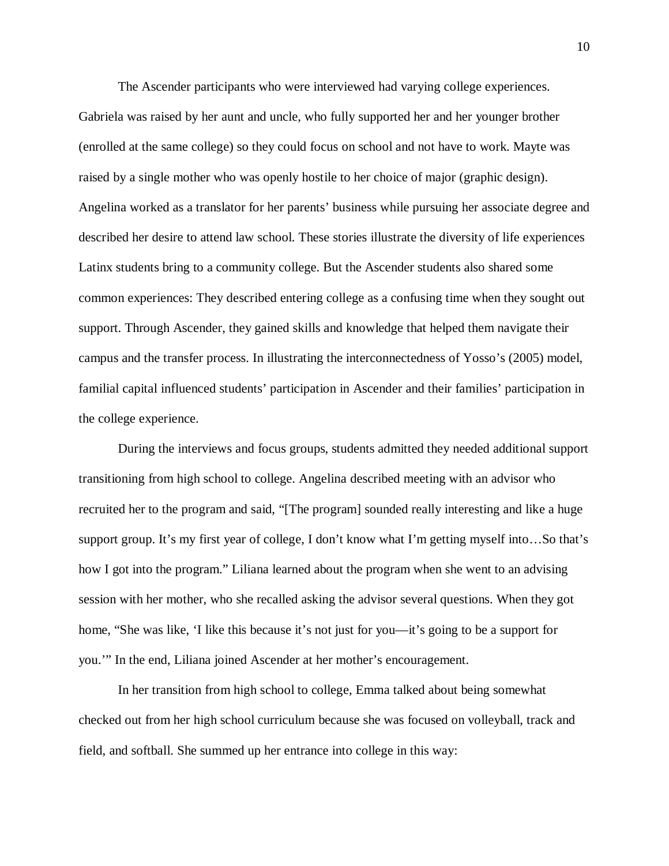The Ascender participants who were interviewed had varying college experiences. Gabriela was raised by her aunt and uncle, who fully supported her and her younger brother (enrolled at the same college) so they could focus on school and not have to work. Mayte was raised by a single mother who was openly hostile to her choice of major (graphic design). Angelina worked as a translator for her parents' business while pursuing her associate degree and described her desire to attend law school. These stories illustrate the diversity of life experiences Latinx students bring to a community college. But the Ascender students also shared some common experiences: They described entering college as a confusing time when they sought out support. Through Ascender, they gained skills and knowledge that helped them navigate their campus and the transfer process. In illustrating the interconnectedness of Yosso's (2005) model, familial capital influenced students' participation in Ascender and their families' participation in the college experience.

During the interviews and focus groups, students admitted they needed additional support transitioning from high school to college. Angelina described meeting with an advisor who recruited her to the program and said, "[The program] sounded really interesting and like a huge support group. It's my first year of college, I don't know what I'm getting myself into…So that's how I got into the program." Liliana learned about the program when she went to an advising session with her mother, who she recalled asking the advisor several questions. When they got home, "She was like, 'I like this because it's not just for you—it's going to be a support for you.'" In the end, Liliana joined Ascender at her mother's encouragement.

In her transition from high school to college, Emma talked about being somewhat checked out from her high school curriculum because she was focused on volleyball, track and field, and softball. She summed up her entrance into college in this way: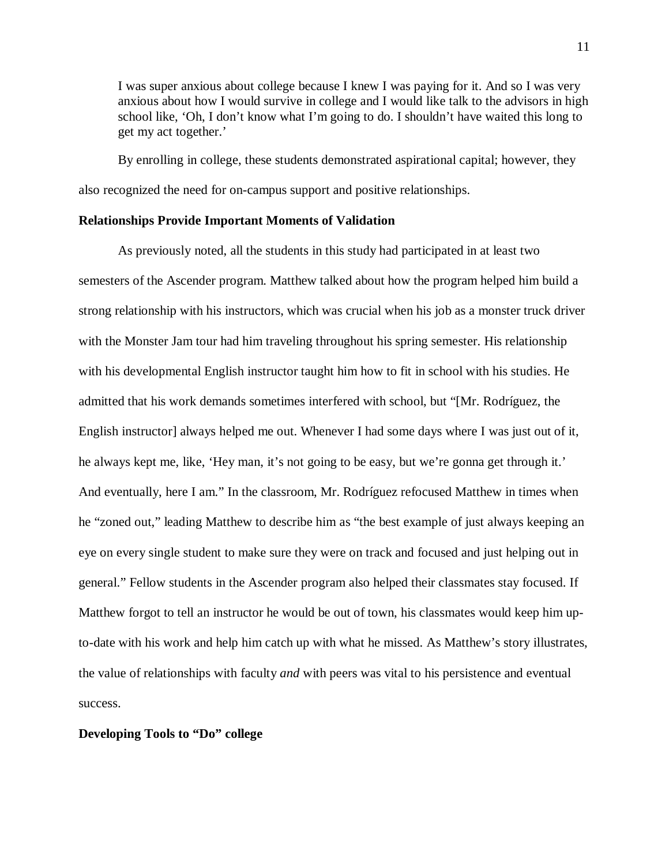I was super anxious about college because I knew I was paying for it. And so I was very anxious about how I would survive in college and I would like talk to the advisors in high school like, 'Oh, I don't know what I'm going to do. I shouldn't have waited this long to get my act together.'

By enrolling in college, these students demonstrated aspirational capital; however, they also recognized the need for on-campus support and positive relationships.

#### **Relationships Provide Important Moments of Validation**

As previously noted, all the students in this study had participated in at least two semesters of the Ascender program. Matthew talked about how the program helped him build a strong relationship with his instructors, which was crucial when his job as a monster truck driver with the Monster Jam tour had him traveling throughout his spring semester. His relationship with his developmental English instructor taught him how to fit in school with his studies. He admitted that his work demands sometimes interfered with school, but "[Mr. Rodríguez, the English instructor] always helped me out. Whenever I had some days where I was just out of it, he always kept me, like, 'Hey man, it's not going to be easy, but we're gonna get through it.' And eventually, here I am." In the classroom, Mr. Rodríguez refocused Matthew in times when he "zoned out," leading Matthew to describe him as "the best example of just always keeping an eye on every single student to make sure they were on track and focused and just helping out in general." Fellow students in the Ascender program also helped their classmates stay focused. If Matthew forgot to tell an instructor he would be out of town, his classmates would keep him upto-date with his work and help him catch up with what he missed. As Matthew's story illustrates, the value of relationships with faculty *and* with peers was vital to his persistence and eventual success.

### **Developing Tools to "Do" college**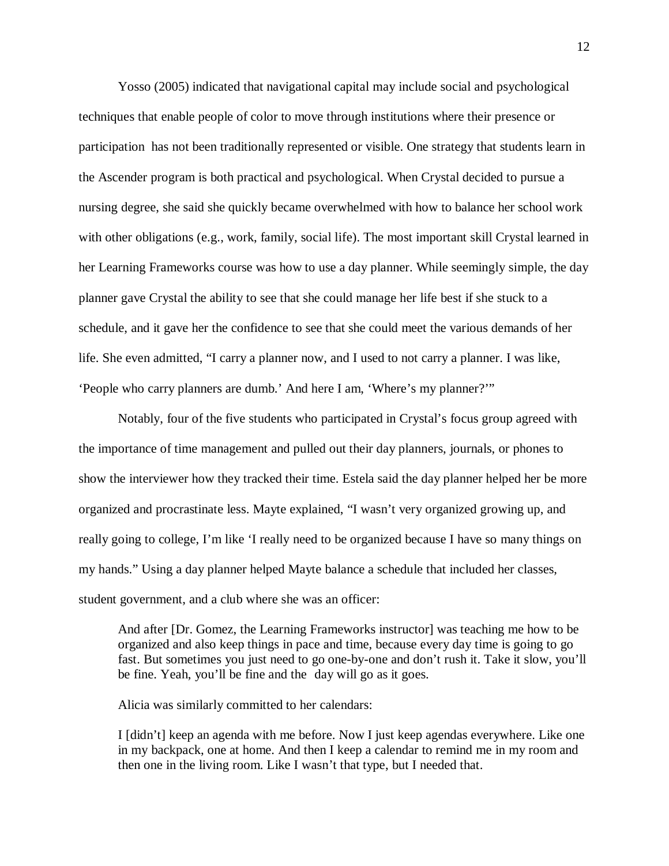Yosso (2005) indicated that navigational capital may include social and psychological techniques that enable people of color to move through institutions where their presence or participation has not been traditionally represented or visible. One strategy that students learn in the Ascender program is both practical and psychological. When Crystal decided to pursue a nursing degree, she said she quickly became overwhelmed with how to balance her school work with other obligations (e.g., work, family, social life). The most important skill Crystal learned in her Learning Frameworks course was how to use a day planner. While seemingly simple, the day planner gave Crystal the ability to see that she could manage her life best if she stuck to a schedule, and it gave her the confidence to see that she could meet the various demands of her life. She even admitted, "I carry a planner now, and I used to not carry a planner. I was like, 'People who carry planners are dumb.' And here I am, 'Where's my planner?'"

Notably, four of the five students who participated in Crystal's focus group agreed with the importance of time management and pulled out their day planners, journals, or phones to show the interviewer how they tracked their time. Estela said the day planner helped her be more organized and procrastinate less. Mayte explained, "I wasn't very organized growing up, and really going to college, I'm like 'I really need to be organized because I have so many things on my hands." Using a day planner helped Mayte balance a schedule that included her classes, student government, and a club where she was an officer:

And after [Dr. Gomez, the Learning Frameworks instructor] was teaching me how to be organized and also keep things in pace and time, because every day time is going to go fast. But sometimes you just need to go one-by-one and don't rush it. Take it slow, you'll be fine. Yeah, you'll be fine and the day will go as it goes.

Alicia was similarly committed to her calendars:

I [didn't] keep an agenda with me before. Now I just keep agendas everywhere. Like one in my backpack, one at home. And then I keep a calendar to remind me in my room and then one in the living room. Like I wasn't that type, but I needed that.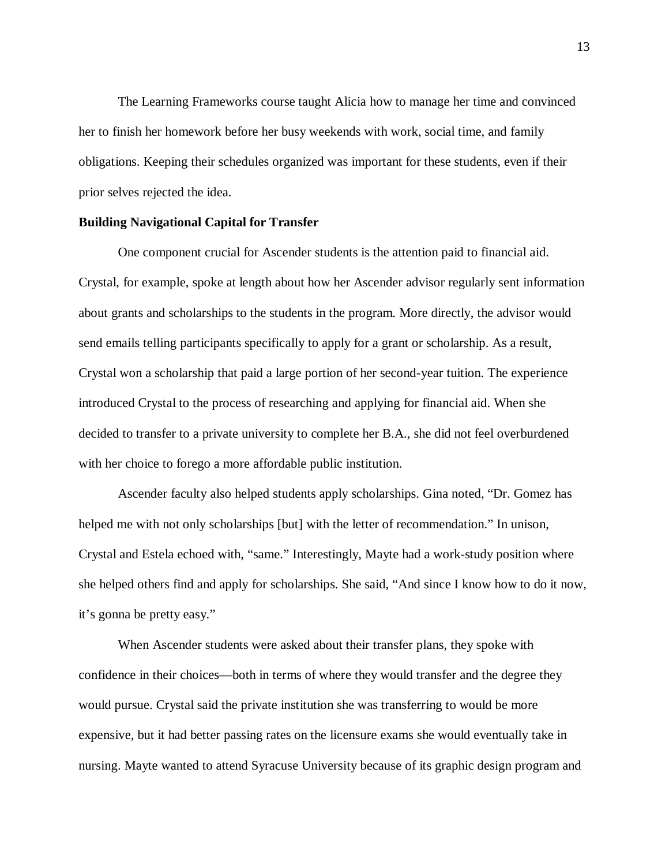The Learning Frameworks course taught Alicia how to manage her time and convinced her to finish her homework before her busy weekends with work, social time, and family obligations. Keeping their schedules organized was important for these students, even if their prior selves rejected the idea.

### **Building Navigational Capital for Transfer**

One component crucial for Ascender students is the attention paid to financial aid. Crystal, for example, spoke at length about how her Ascender advisor regularly sent information about grants and scholarships to the students in the program. More directly, the advisor would send emails telling participants specifically to apply for a grant or scholarship. As a result, Crystal won a scholarship that paid a large portion of her second-year tuition. The experience introduced Crystal to the process of researching and applying for financial aid. When she decided to transfer to a private university to complete her B.A., she did not feel overburdened with her choice to forego a more affordable public institution.

Ascender faculty also helped students apply scholarships. Gina noted, "Dr. Gomez has helped me with not only scholarships [but] with the letter of recommendation." In unison, Crystal and Estela echoed with, "same." Interestingly, Mayte had a work-study position where she helped others find and apply for scholarships. She said, "And since I know how to do it now, it's gonna be pretty easy."

When Ascender students were asked about their transfer plans, they spoke with confidence in their choices—both in terms of where they would transfer and the degree they would pursue. Crystal said the private institution she was transferring to would be more expensive, but it had better passing rates on the licensure exams she would eventually take in nursing. Mayte wanted to attend Syracuse University because of its graphic design program and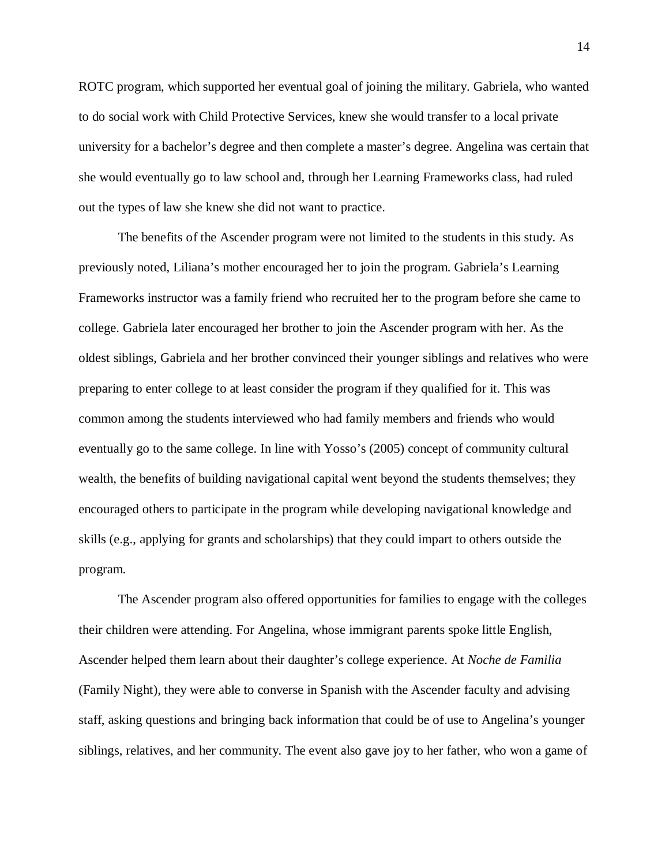ROTC program, which supported her eventual goal of joining the military. Gabriela, who wanted to do social work with Child Protective Services, knew she would transfer to a local private university for a bachelor's degree and then complete a master's degree. Angelina was certain that she would eventually go to law school and, through her Learning Frameworks class, had ruled out the types of law she knew she did not want to practice.

The benefits of the Ascender program were not limited to the students in this study. As previously noted, Liliana's mother encouraged her to join the program. Gabriela's Learning Frameworks instructor was a family friend who recruited her to the program before she came to college. Gabriela later encouraged her brother to join the Ascender program with her. As the oldest siblings, Gabriela and her brother convinced their younger siblings and relatives who were preparing to enter college to at least consider the program if they qualified for it. This was common among the students interviewed who had family members and friends who would eventually go to the same college. In line with Yosso's (2005) concept of community cultural wealth, the benefits of building navigational capital went beyond the students themselves; they encouraged others to participate in the program while developing navigational knowledge and skills (e.g., applying for grants and scholarships) that they could impart to others outside the program.

The Ascender program also offered opportunities for families to engage with the colleges their children were attending. For Angelina, whose immigrant parents spoke little English, Ascender helped them learn about their daughter's college experience. At *Noche de Familia* (Family Night), they were able to converse in Spanish with the Ascender faculty and advising staff, asking questions and bringing back information that could be of use to Angelina's younger siblings, relatives, and her community. The event also gave joy to her father, who won a game of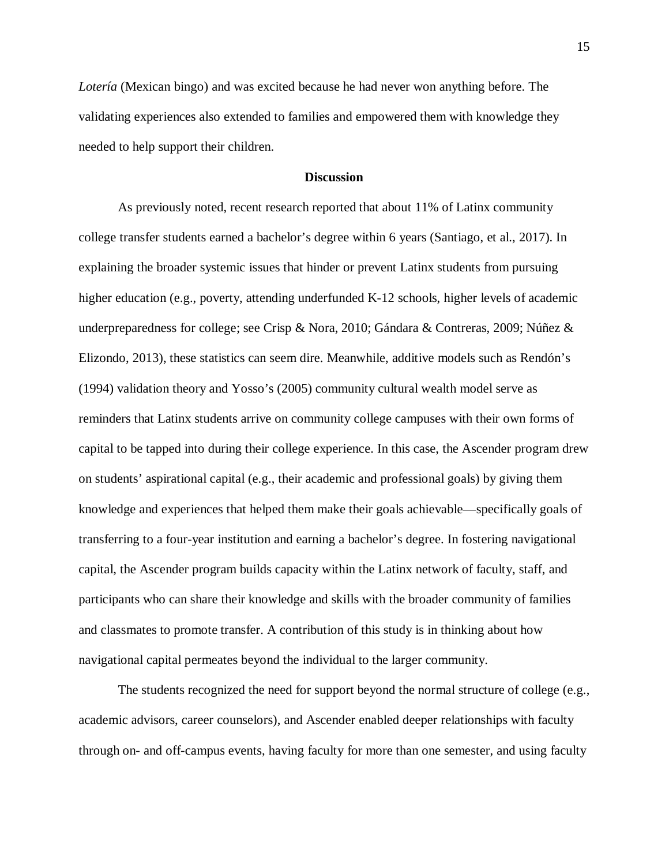*Lotería* (Mexican bingo) and was excited because he had never won anything before. The validating experiences also extended to families and empowered them with knowledge they needed to help support their children.

# **Discussion**

As previously noted, recent research reported that about 11% of Latinx community college transfer students earned a bachelor's degree within 6 years (Santiago, et al., 2017). In explaining the broader systemic issues that hinder or prevent Latinx students from pursuing higher education (e.g., poverty, attending underfunded K-12 schools, higher levels of academic underpreparedness for college; see Crisp & Nora, 2010; Gándara & Contreras, 2009; Núñez & Elizondo, 2013), these statistics can seem dire. Meanwhile, additive models such as Rendón's (1994) validation theory and Yosso's (2005) community cultural wealth model serve as reminders that Latinx students arrive on community college campuses with their own forms of capital to be tapped into during their college experience. In this case, the Ascender program drew on students' aspirational capital (e.g., their academic and professional goals) by giving them knowledge and experiences that helped them make their goals achievable—specifically goals of transferring to a four-year institution and earning a bachelor's degree. In fostering navigational capital, the Ascender program builds capacity within the Latinx network of faculty, staff, and participants who can share their knowledge and skills with the broader community of families and classmates to promote transfer. A contribution of this study is in thinking about how navigational capital permeates beyond the individual to the larger community.

The students recognized the need for support beyond the normal structure of college (e.g., academic advisors, career counselors), and Ascender enabled deeper relationships with faculty through on- and off-campus events, having faculty for more than one semester, and using faculty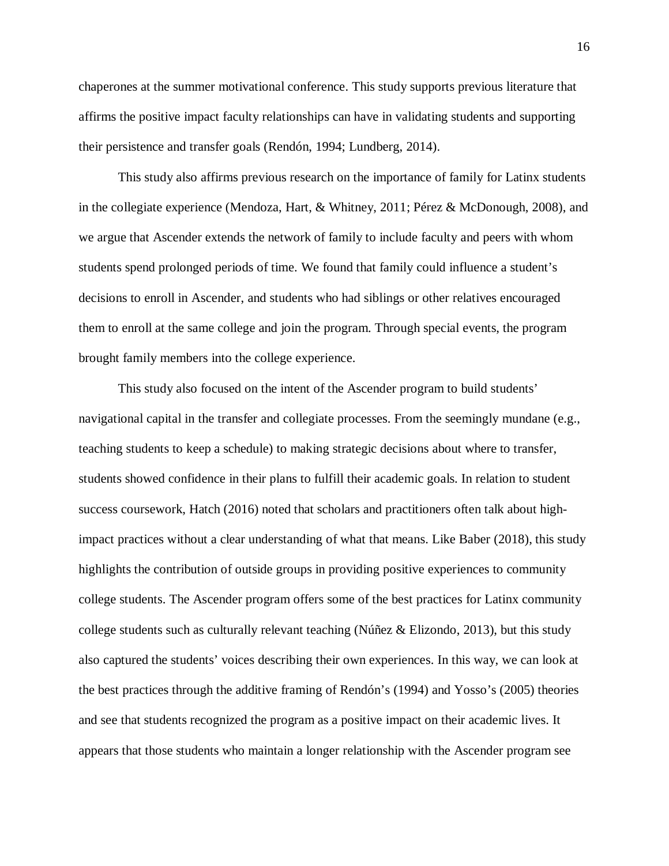chaperones at the summer motivational conference. This study supports previous literature that affirms the positive impact faculty relationships can have in validating students and supporting their persistence and transfer goals (Rendón, 1994; Lundberg, 2014).

This study also affirms previous research on the importance of family for Latinx students in the collegiate experience (Mendoza, Hart, & Whitney, 2011; Pérez & McDonough, 2008), and we argue that Ascender extends the network of family to include faculty and peers with whom students spend prolonged periods of time. We found that family could influence a student's decisions to enroll in Ascender, and students who had siblings or other relatives encouraged them to enroll at the same college and join the program. Through special events, the program brought family members into the college experience.

This study also focused on the intent of the Ascender program to build students' navigational capital in the transfer and collegiate processes. From the seemingly mundane (e.g., teaching students to keep a schedule) to making strategic decisions about where to transfer, students showed confidence in their plans to fulfill their academic goals. In relation to student success coursework, Hatch (2016) noted that scholars and practitioners often talk about highimpact practices without a clear understanding of what that means. Like Baber (2018), this study highlights the contribution of outside groups in providing positive experiences to community college students. The Ascender program offers some of the best practices for Latinx community college students such as culturally relevant teaching (Núñez & Elizondo, 2013), but this study also captured the students' voices describing their own experiences. In this way, we can look at the best practices through the additive framing of Rendón's (1994) and Yosso's (2005) theories and see that students recognized the program as a positive impact on their academic lives. It appears that those students who maintain a longer relationship with the Ascender program see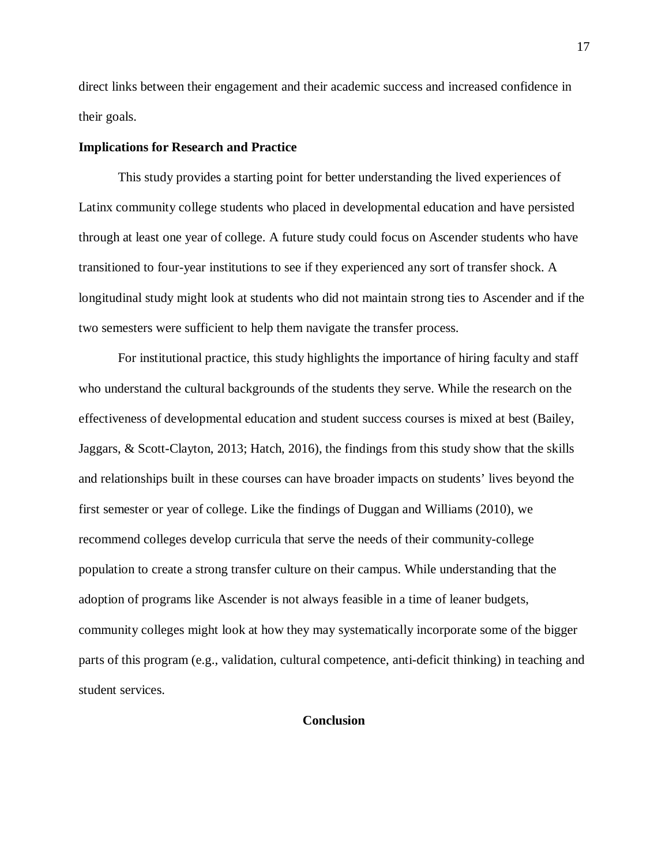direct links between their engagement and their academic success and increased confidence in their goals.

#### **Implications for Research and Practice**

This study provides a starting point for better understanding the lived experiences of Latinx community college students who placed in developmental education and have persisted through at least one year of college. A future study could focus on Ascender students who have transitioned to four-year institutions to see if they experienced any sort of transfer shock. A longitudinal study might look at students who did not maintain strong ties to Ascender and if the two semesters were sufficient to help them navigate the transfer process.

For institutional practice, this study highlights the importance of hiring faculty and staff who understand the cultural backgrounds of the students they serve. While the research on the effectiveness of developmental education and student success courses is mixed at best (Bailey, Jaggars, & Scott-Clayton, 2013; Hatch, 2016), the findings from this study show that the skills and relationships built in these courses can have broader impacts on students' lives beyond the first semester or year of college. Like the findings of Duggan and Williams (2010), we recommend colleges develop curricula that serve the needs of their community-college population to create a strong transfer culture on their campus. While understanding that the adoption of programs like Ascender is not always feasible in a time of leaner budgets, community colleges might look at how they may systematically incorporate some of the bigger parts of this program (e.g., validation, cultural competence, anti-deficit thinking) in teaching and student services.

# **Conclusion**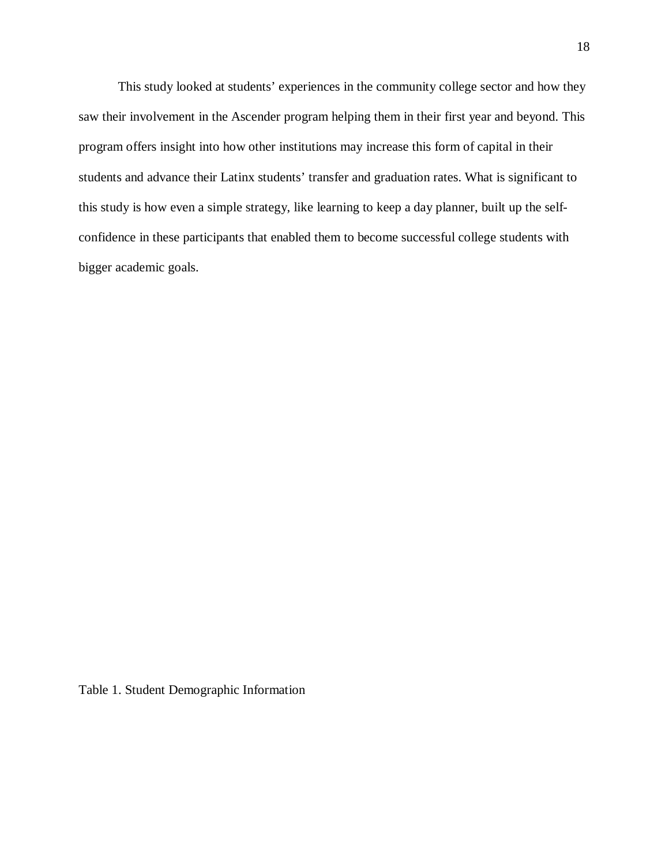This study looked at students' experiences in the community college sector and how they saw their involvement in the Ascender program helping them in their first year and beyond. This program offers insight into how other institutions may increase this form of capital in their students and advance their Latinx students' transfer and graduation rates. What is significant to this study is how even a simple strategy, like learning to keep a day planner, built up the selfconfidence in these participants that enabled them to become successful college students with bigger academic goals.

Table 1. Student Demographic Information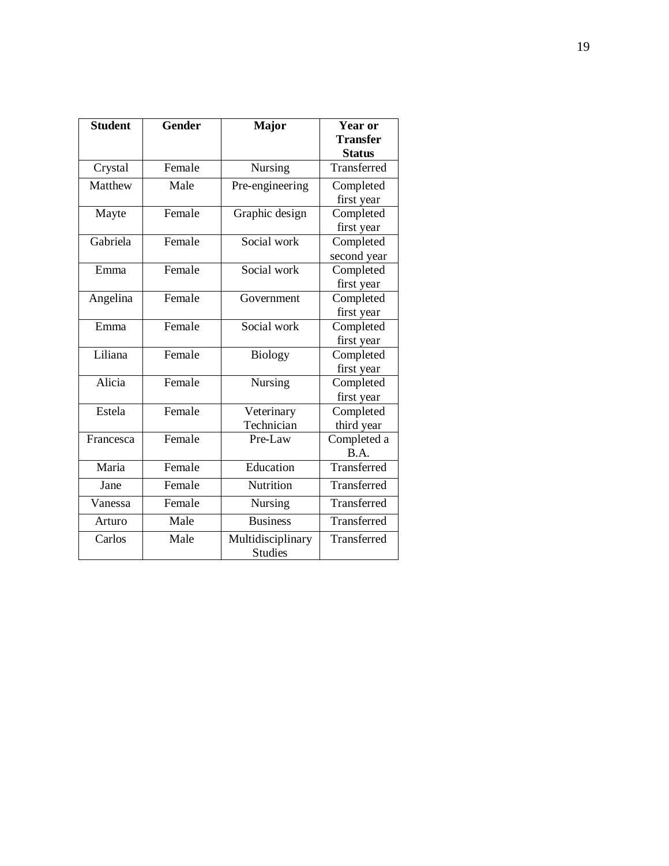| <b>Student</b> | <b>Gender</b> | <b>Major</b>                        | Year or         |
|----------------|---------------|-------------------------------------|-----------------|
|                |               |                                     | <b>Transfer</b> |
|                |               |                                     | <b>Status</b>   |
| Crystal        | Female        | Nursing                             | Transferred     |
| Matthew        | Male          | Pre-engineering                     | Completed       |
|                |               |                                     | first year      |
| Mayte          | Female        | Graphic design                      | Completed       |
|                |               |                                     | first year      |
| Gabriela       | Female        | Social work                         | Completed       |
|                |               |                                     | second year     |
| Emma           | Female        | Social work                         | Completed       |
|                |               |                                     | first year      |
| Angelina       | Female        | Government                          | Completed       |
|                |               |                                     | first year      |
| Emma           | Female        | Social work                         | Completed       |
|                |               |                                     | first year      |
| Liliana        | Female        | <b>Biology</b>                      | Completed       |
|                |               |                                     | first year      |
| Alicia         | Female        | <b>Nursing</b>                      | Completed       |
|                |               |                                     | first year      |
| Estela         | Female        | Veterinary                          | Completed       |
|                |               | Technician                          | third year      |
| Francesca      | Female        | Pre-Law                             | Completed a     |
|                |               |                                     | B.A.            |
| Maria          | Female        | Education                           | Transferred     |
| Jane           | Female        | Nutrition                           | Transferred     |
| Vanessa        | Female        | Nursing                             | Transferred     |
| Arturo         | Male          | <b>Business</b>                     | Transferred     |
| Carlos         | Male          | Multidisciplinary<br><b>Studies</b> | Transferred     |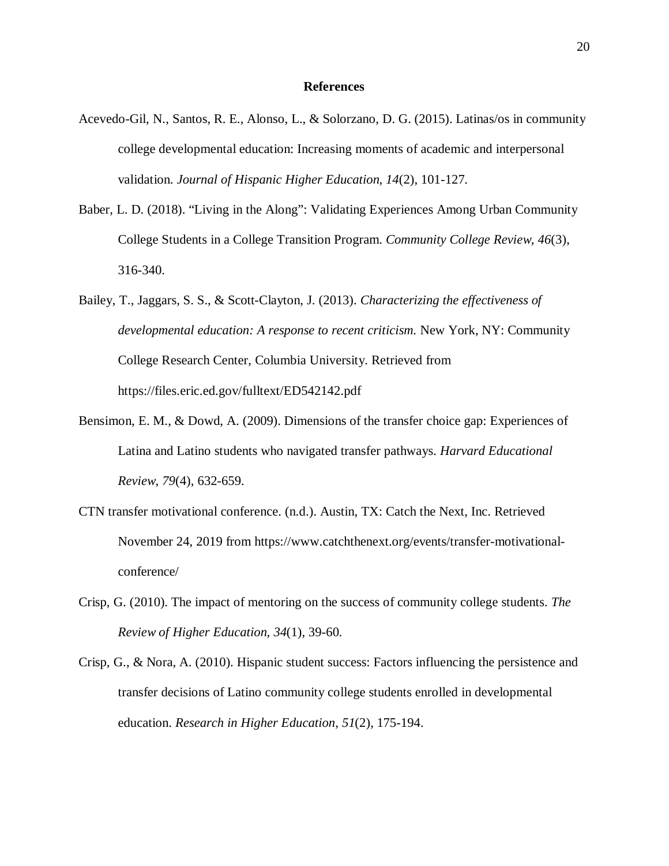#### **References**

- Acevedo-Gil, N., Santos, R. E., Alonso, L., & Solorzano, D. G. (2015). Latinas/os in community college developmental education: Increasing moments of academic and interpersonal validation. *Journal of Hispanic Higher Education*, *14*(2), 101-127.
- Baber, L. D. (2018). "Living in the Along": Validating Experiences Among Urban Community College Students in a College Transition Program. *Community College Review*, *46*(3), 316-340.
- Bailey, T., Jaggars, S. S., & Scott-Clayton, J. (2013). *Characterizing the effectiveness of developmental education: A response to recent criticism.* New York, NY: Community College Research Center, Columbia University. Retrieved from https://files.eric.ed.gov/fulltext/ED542142.pdf
- Bensimon, E. M., & Dowd, A. (2009). Dimensions of the transfer choice gap: Experiences of Latina and Latino students who navigated transfer pathways. *Harvard Educational Review*, *79*(4), 632-659.
- CTN transfer motivational conference. (n.d.). Austin, TX: Catch the Next, Inc. Retrieved November 24, 2019 from https://www.catchthenext.org/events/transfer-motivationalconference/
- Crisp, G. (2010). The impact of mentoring on the success of community college students. *The Review of Higher Education*, *34*(1), 39-60.
- Crisp, G., & Nora, A. (2010). Hispanic student success: Factors influencing the persistence and transfer decisions of Latino community college students enrolled in developmental education. *Research in Higher Education*, *51*(2), 175-194.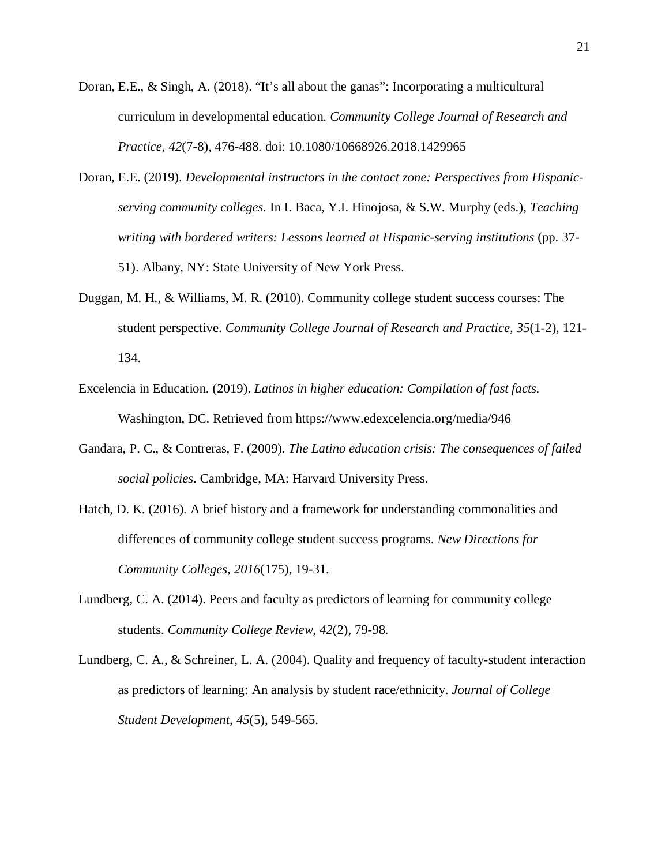- Doran, E.E., & Singh, A. (2018). "It's all about the ganas": Incorporating a multicultural curriculum in developmental education. *Community College Journal of Research and Practice, 42*(7-8), 476-488. doi: 10.1080/10668926.2018.1429965
- Doran, E.E. (2019). *Developmental instructors in the contact zone: Perspectives from Hispanicserving community colleges.* In I. Baca, Y.I. Hinojosa, & S.W. Murphy (eds.), *Teaching writing with bordered writers: Lessons learned at Hispanic-serving institutions* (pp. 37- 51). Albany, NY: State University of New York Press.
- Duggan, M. H., & Williams, M. R. (2010). Community college student success courses: The student perspective. *Community College Journal of Research and Practice, 35*(1-2), 121- 134.
- Excelencia in Education. (2019). *Latinos in higher education: Compilation of fast facts.* Washington, DC. Retrieved from https://www.edexcelencia.org/media/946
- Gandara, P. C., & Contreras, F. (2009). *The Latino education crisis: The consequences of failed social policies*. Cambridge, MA: Harvard University Press.
- Hatch, D. K. (2016). A brief history and a framework for understanding commonalities and differences of community college student success programs. *New Directions for Community Colleges*, *2016*(175), 19-31.
- Lundberg, C. A. (2014). Peers and faculty as predictors of learning for community college students. *Community College Review*, *42*(2), 79-98.
- Lundberg, C. A., & Schreiner, L. A. (2004). Quality and frequency of faculty-student interaction as predictors of learning: An analysis by student race/ethnicity. *Journal of College Student Development*, *45*(5), 549-565.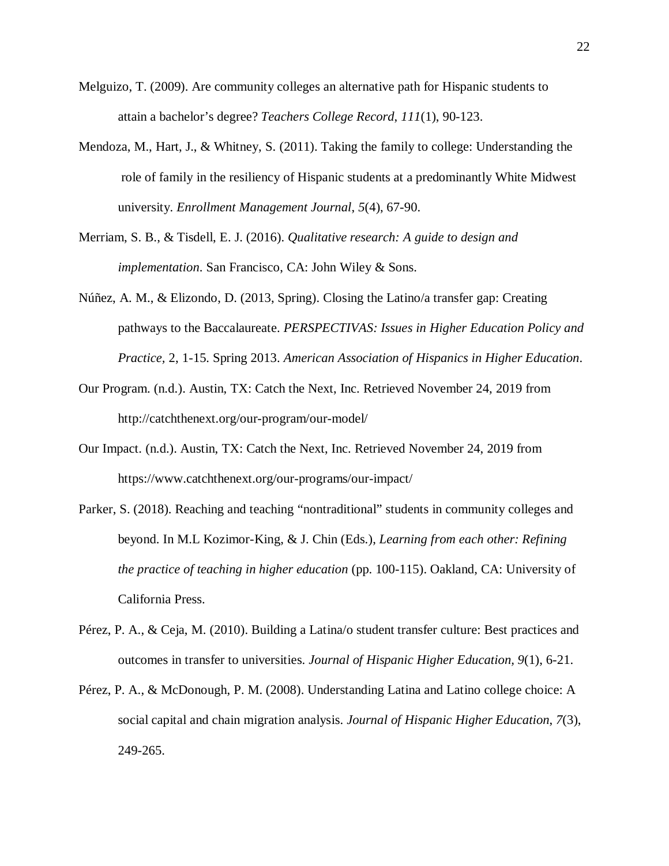- Melguizo, T. (2009). Are community colleges an alternative path for Hispanic students to attain a bachelor's degree? *Teachers College Record*, *111*(1), 90-123.
- Mendoza, M., Hart, J., & Whitney, S. (2011). Taking the family to college: Understanding the role of family in the resiliency of Hispanic students at a predominantly White Midwest university. *Enrollment Management Journal*, *5*(4), 67-90.
- Merriam, S. B., & Tisdell, E. J. (2016). *Qualitative research: A guide to design and implementation*. San Francisco, CA: John Wiley & Sons.
- Núñez, A. M., & Elizondo, D. (2013, Spring). Closing the Latino/a transfer gap: Creating pathways to the Baccalaureate. *PERSPECTIVAS: Issues in Higher Education Policy and Practice,* 2, 1-15. Spring 2013. *American Association of Hispanics in Higher Education*.
- Our Program. (n.d.). Austin, TX: Catch the Next, Inc. Retrieved November 24, 2019 from http://catchthenext.org/our-program/our-model/
- Our Impact. (n.d.). Austin, TX: Catch the Next, Inc. Retrieved November 24, 2019 from https://www.catchthenext.org/our-programs/our-impact/
- Parker, S. (2018). Reaching and teaching "nontraditional" students in community colleges and beyond. In M.L Kozimor-King, & J. Chin (Eds.), *Learning from each other: Refining the practice of teaching in higher education* (pp. 100-115). Oakland, CA: University of California Press.
- Pérez, P. A., & Ceja, M. (2010). Building a Latina/o student transfer culture: Best practices and outcomes in transfer to universities. *Journal of Hispanic Higher Education, 9*(1), 6-21.
- Pérez, P. A., & McDonough, P. M. (2008). Understanding Latina and Latino college choice: A social capital and chain migration analysis. *Journal of Hispanic Higher Education*, *7*(3), 249-265.